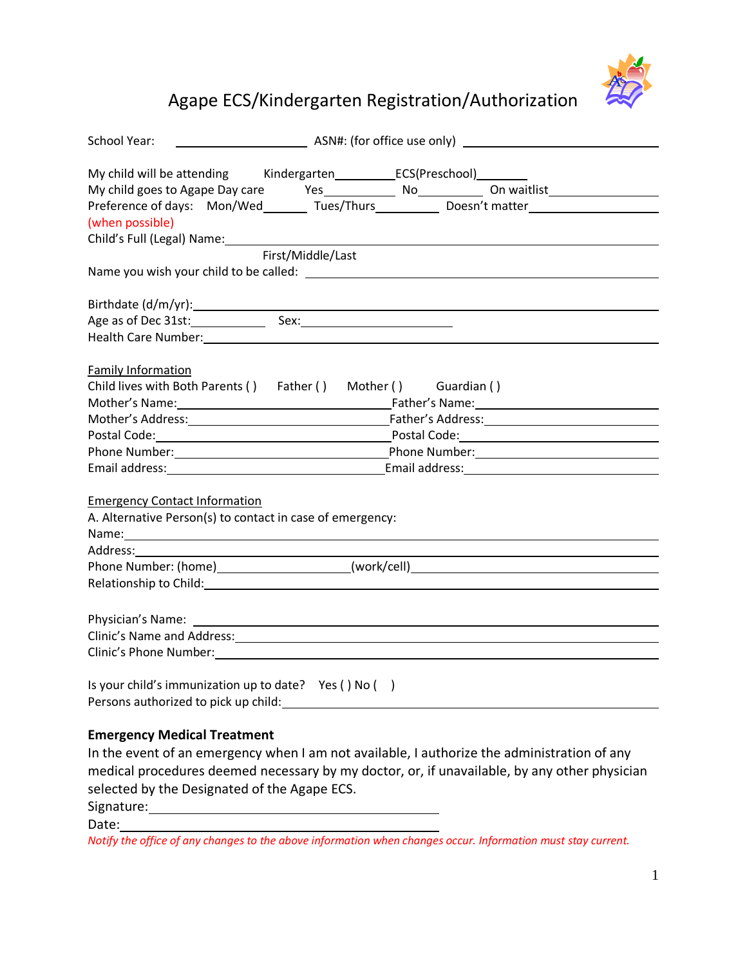

## Agape ECS/Kindergarten Registration/Authorization

| <b>School Year:</b>                                                                                                                                                                                                            |                   |  |
|--------------------------------------------------------------------------------------------------------------------------------------------------------------------------------------------------------------------------------|-------------------|--|
|                                                                                                                                                                                                                                |                   |  |
|                                                                                                                                                                                                                                |                   |  |
| Preference of days: Mon/Wed_________ Tues/Thurs_____________ Doesn't matter________________________                                                                                                                            |                   |  |
| (when possible)                                                                                                                                                                                                                |                   |  |
| Child's Full (Legal) Name: \\sqrtdgs\\sqrtdgs\sqrtdgs\sqrtdgs\sqrtdgs\sqrtdgs\sqrtdgs\sqrtdgs\sqrtdgs\sqrtdgs\sqr                                                                                                              |                   |  |
|                                                                                                                                                                                                                                | First/Middle/Last |  |
|                                                                                                                                                                                                                                |                   |  |
|                                                                                                                                                                                                                                |                   |  |
|                                                                                                                                                                                                                                |                   |  |
| Health Care Number: 1999 Contract Contract Contract Contract Contract Contract Contract Contract Contract Contract Contract Contract Contract Contract Contract Contract Contract Contract Contract Contract Contract Contract |                   |  |
| <b>Family Information</b>                                                                                                                                                                                                      |                   |  |
| Child lives with Both Parents () Father () Mother () Guardian ()                                                                                                                                                               |                   |  |
|                                                                                                                                                                                                                                |                   |  |
|                                                                                                                                                                                                                                |                   |  |
|                                                                                                                                                                                                                                |                   |  |
|                                                                                                                                                                                                                                |                   |  |
|                                                                                                                                                                                                                                |                   |  |
| <b>Emergency Contact Information</b>                                                                                                                                                                                           |                   |  |
| A. Alternative Person(s) to contact in case of emergency:                                                                                                                                                                      |                   |  |
| Name: Name: Name: Name: Name: Name: Name: Name: Name: Name: Name: Name: Name: Name: Name: Name: Name: Name: Name: Name: Name: Name: Name: Name: Name: Name: Name: Name: Name: Name: Name: Name: Name: Name: Name: Name: Name:  |                   |  |
|                                                                                                                                                                                                                                |                   |  |
| Phone Number: (home)______________________(work/cell)____________________________                                                                                                                                              |                   |  |
| Relationship to Child: National Accounts and Accounts and Accounts and Accounts and Accounts and Accounts and                                                                                                                  |                   |  |
|                                                                                                                                                                                                                                |                   |  |
|                                                                                                                                                                                                                                |                   |  |
| Clinic's Phone Number: 1997                                                                                                                                                                                                    |                   |  |
|                                                                                                                                                                                                                                |                   |  |
| Is your child's immunization up to date? Yes () No ()                                                                                                                                                                          |                   |  |
|                                                                                                                                                                                                                                |                   |  |
| <b>Emergency Medical Treatment</b>                                                                                                                                                                                             |                   |  |
| In the event of an emergency when I am not available, I authorize the administration of any                                                                                                                                    |                   |  |
| medical procedures deemed necessary by my doctor, or, if unavailable, by any other physician                                                                                                                                   |                   |  |
| selected by the Designated of the Agape ECS.                                                                                                                                                                                   |                   |  |

Signature: Date:

*Notify the office of any changes to the above information when changes occur. Information must stay current.*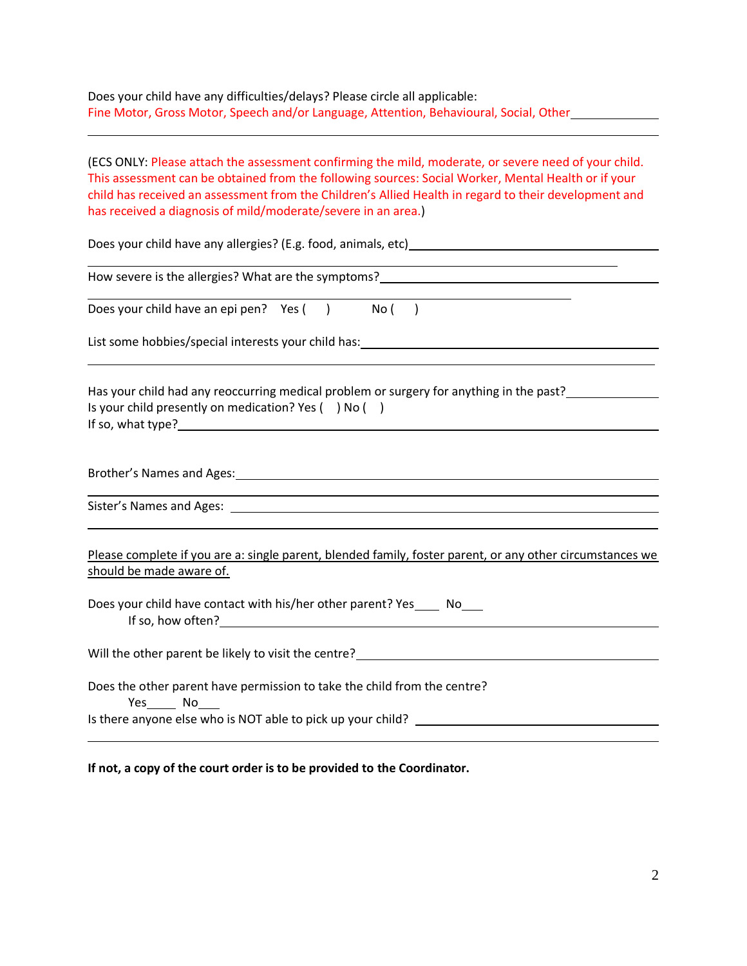Does your child have any difficulties/delays? Please circle all applicable: Fine Motor, Gross Motor, Speech and/or Language, Attention, Behavioural, Social, Other

(ECS ONLY: Please attach the assessment confirming the mild, moderate, or severe need of your child. This assessment can be obtained from the following sources: Social Worker, Mental Health or if your child has received an assessment from the Children's Allied Health in regard to their development and has received a diagnosis of mild/moderate/severe in an area.)

Does your child have any allergies? (E.g. food, animals, etc)  $\overline{a}$ 

How severe is the allergies? What are the symptoms?

Does your child have an epi pen?  $Yes( )$  No  $( )$ 

List some hobbies/special interests your child has: \_\_\_\_\_\_\_\_\_\_\_\_\_\_\_\_\_\_\_\_\_\_\_\_\_\_\_\_

Has your child had any reoccurring medical problem or surgery for anything in the past? Is your child presently on medication? Yes ( ) No ( ) If so, what type?

Brother's Names and Ages:

 $\overline{\phantom{0}}$ 

Sister's Names and Ages:

Please complete if you are a: single parent, blended family, foster parent, or any other circumstances we should be made aware of.

Does your child have contact with his/her other parent? Yes \_\_\_\_\_ No\_\_\_\_ If so, how often?

Will the other parent be likely to visit the centre?

Does the other parent have permission to take the child from the centre? Yes No Is there anyone else who is NOT able to pick up your child?

**If not, a copy of the court order is to be provided to the Coordinator.**

 $\overline{a}$ 

 $\overline{a}$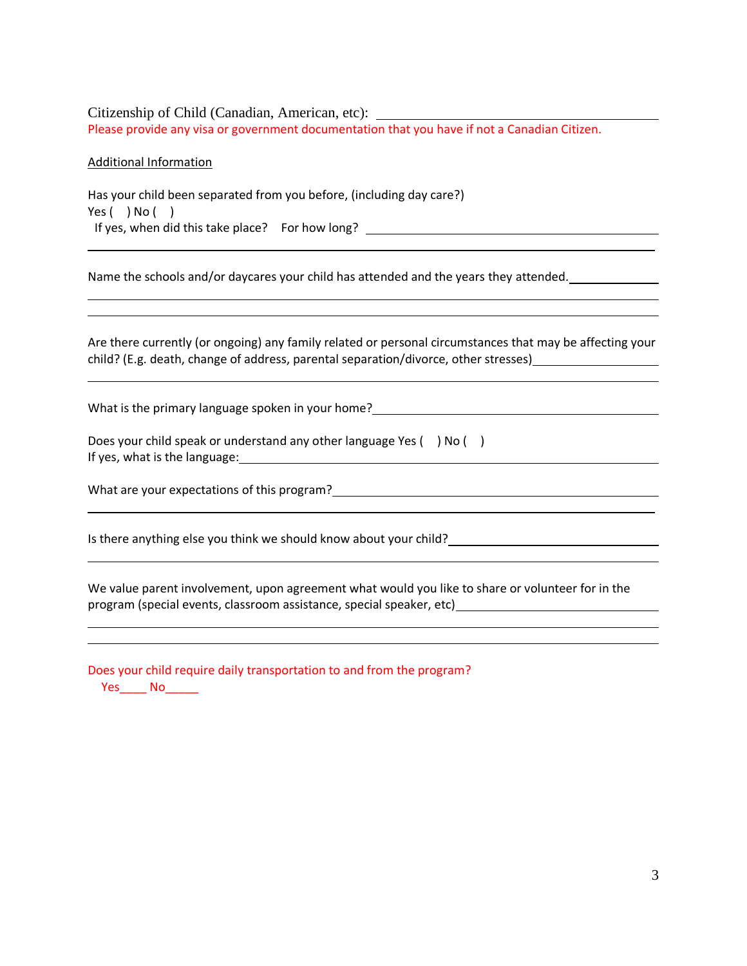Citizenship of Child (Canadian, American, etc): Please provide any visa or government documentation that you have if not a Canadian Citizen.

Additional Information

L

Has your child been separated from you before, (including day care?) Yes  $( )$  No  $( )$ If yes, when did this take place? For how long? \_\_\_\_\_\_\_\_\_\_\_\_\_\_\_\_\_\_\_\_\_\_\_\_\_\_\_\_\_\_\_\_

Name the schools and/or daycares your child has attended and the years they attended.

Are there currently (or ongoing) any family related or personal circumstances that may be affecting your child? (E.g. death, change of address, parental separation/divorce, other stresses)

What is the primary language spoken in your home?

| Does your child speak or understand any other language Yes () No ( |  |
|--------------------------------------------------------------------|--|
| If yes, what is the language:                                      |  |

L

What are your expectations of this program?

Is there anything else you think we should know about your child?

We value parent involvement, upon agreement what would you like to share or volunteer for in the program (special events, classroom assistance, special speaker, etc)

|        | Does your child require daily transportation to and from the program? |  |  |
|--------|-----------------------------------------------------------------------|--|--|
| Yes No |                                                                       |  |  |

<u> 1980 - Johann Barbara, martin amerikan basar dan berasal dan berasal dalam basar dalam basar dalam basar dala</u>

<u> 1989 - Johann Barbara, martin amerikan basar dan berasal dalam basa dalam basar dalam basar dalam basar dala</u>

 $\overline{a}$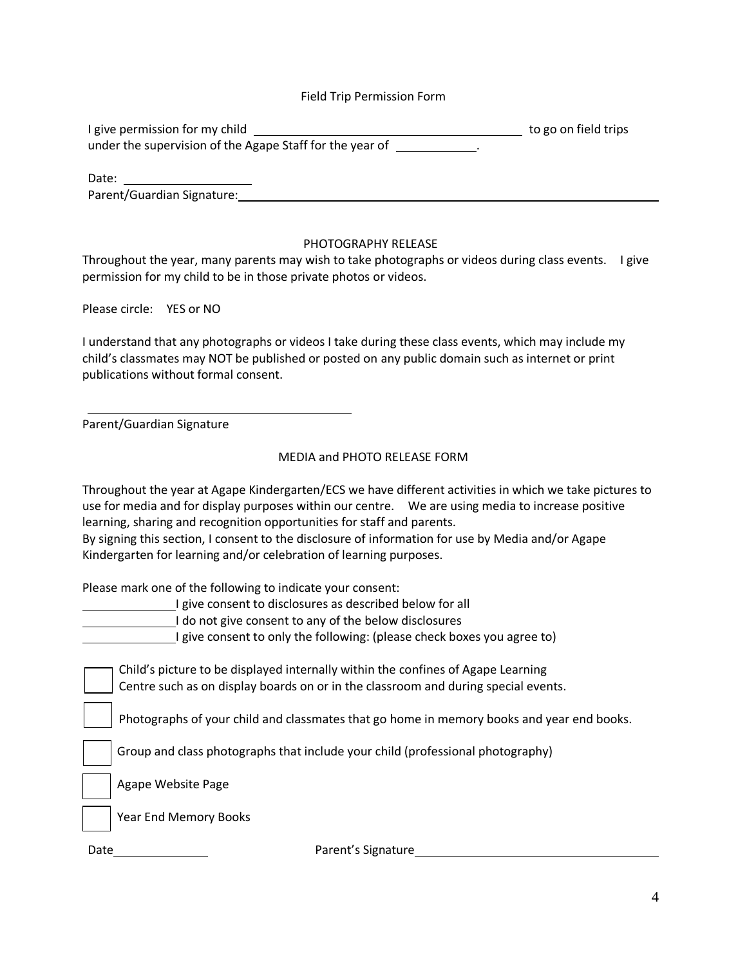## Field Trip Permission Form

| I give permission for my child                           | to go on field trips |
|----------------------------------------------------------|----------------------|
| under the supervision of the Agape Staff for the year of |                      |

Date: 1988 Parent/Guardian Signature: 2008 2014 2020 2020 2020 2021 2022 2022 2021 2022 2021 2022 2023 2024 2022 2022 202

## PHOTOGRAPHY RELEASE

Throughout the year, many parents may wish to take photographs or videos during class events. I give permission for my child to be in those private photos or videos.

Please circle: YES or NO

I understand that any photographs or videos I take during these class events, which may include my child's classmates may NOT be published or posted on any public domain such as internet or print publications without formal consent.

Parent/Guardian Signature

## MEDIA and PHOTO RELEASE FORM

|      | Throughout the year at Agape Kindergarten/ECS we have different activities in which we take pictures to<br>use for media and for display purposes within our centre.  We are using media to increase positive<br>learning, sharing and recognition opportunities for staff and parents.<br>By signing this section, I consent to the disclosure of information for use by Media and/or Agape<br>Kindergarten for learning and/or celebration of learning purposes. |
|------|--------------------------------------------------------------------------------------------------------------------------------------------------------------------------------------------------------------------------------------------------------------------------------------------------------------------------------------------------------------------------------------------------------------------------------------------------------------------|
|      | Please mark one of the following to indicate your consent:<br>I give consent to disclosures as described below for all<br>do not give consent to any of the below disclosures<br>I give consent to only the following: (please check boxes you agree to)                                                                                                                                                                                                           |
|      | Child's picture to be displayed internally within the confines of Agape Learning<br>Centre such as on display boards on or in the classroom and during special events.                                                                                                                                                                                                                                                                                             |
|      | Photographs of your child and classmates that go home in memory books and year end books.                                                                                                                                                                                                                                                                                                                                                                          |
|      | Group and class photographs that include your child (professional photography)                                                                                                                                                                                                                                                                                                                                                                                     |
|      | Agape Website Page                                                                                                                                                                                                                                                                                                                                                                                                                                                 |
|      | Year End Memory Books                                                                                                                                                                                                                                                                                                                                                                                                                                              |
| Date | Parent's Signature                                                                                                                                                                                                                                                                                                                                                                                                                                                 |